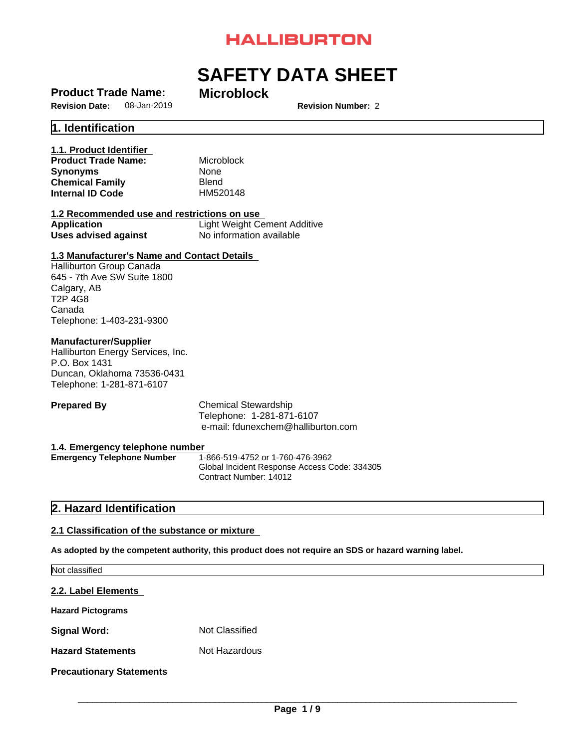# **HALLIBURTON**

# **SAFETY DATA SHEET**

# **Product Trade Name: Microblock**

**Revision Number: 2** 

# **1. Identification**

# **1.1. Product Identifier**

**Product Trade Name:** Microblock **Synonyms** None **Chemical Family Blend<br>
<b>Internal ID Code** HM520148 **Internal ID Code** 

# **1.2 Recommended use and restrictions on use**

| <b>Application</b>   | Light Weight Cement Additive |
|----------------------|------------------------------|
| Uses advised against | No information available     |

# **1.3 Manufacturer's Name and Contact Details**

Halliburton Group Canada 645 - 7th Ave SW Suite 1800 Calgary, AB T2P 4G8 Canada Telephone: 1-403-231-9300

# **Manufacturer/Supplier**

Halliburton Energy Services, Inc. P.O. Box 1431 Duncan, Oklahoma 73536-0431 Telephone: 1-281-871-6107

**Prepared By** Chemical Stewardship Telephone: 1-281-871-6107 e-mail: fdunexchem@halliburton.com

**1.4. Emergency telephone number Emergency Telephone Number** Global Incident Response Access Code: 334305 Contract Number: 14012

# **2. Hazard Identification**

# **2.1 Classification of the substance or mixture**

**As adopted by the competent authority, this product does not require an SDS or hazard warning label.**

| Not classified                  |                |  |  |
|---------------------------------|----------------|--|--|
| 2.2. Label Elements             |                |  |  |
| <b>Hazard Pictograms</b>        |                |  |  |
| <b>Signal Word:</b>             | Not Classified |  |  |
| <b>Hazard Statements</b>        | Not Hazardous  |  |  |
| <b>Precautionary Statements</b> |                |  |  |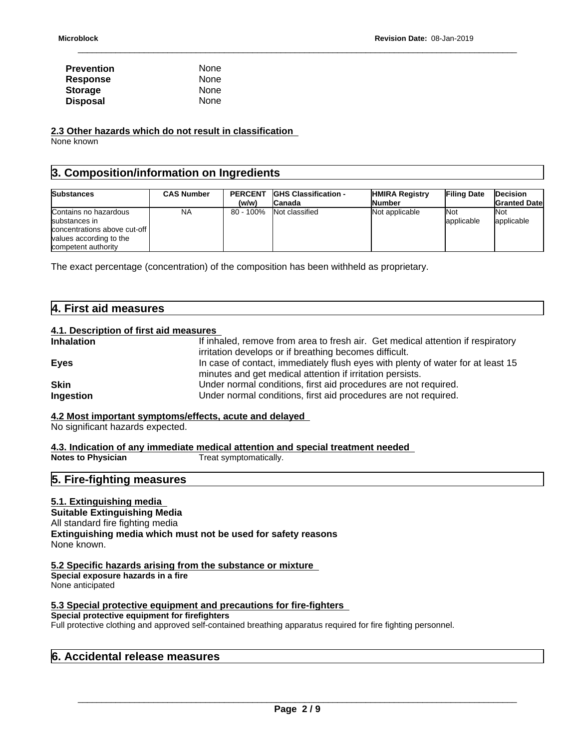| <b>Prevention</b> | None |  |
|-------------------|------|--|
| <b>Response</b>   | None |  |
| <b>Storage</b>    | None |  |
| <b>Disposal</b>   | None |  |

**2.3 Other hazards which do not result in classification**

None known

# **3. Composition/information on Ingredients**

| <b>Substances</b>                                                                                                        | <b>CAS Number</b> | <b>PERCENT</b> | <b>IGHS Classification -</b> | <b>HMIRA Registry</b> | <b>Filing Date</b>       | <b>Decision</b>      |
|--------------------------------------------------------------------------------------------------------------------------|-------------------|----------------|------------------------------|-----------------------|--------------------------|----------------------|
|                                                                                                                          |                   | (w/w)          | 'Canada                      | lNumber               |                          | <b>Granted Datel</b> |
| Contains no hazardous<br>substances in<br>concentrations above cut-off<br>values according to the<br>competent authority | NA                | 80 - 100%      | Not classified               | Not applicable        | <b>Not</b><br>applicable | 'Not<br>applicable   |

The exact percentage (concentration) of the composition has been withheld as proprietary.

| 4. Fir<br><sup>=</sup> irst aid measures |  |
|------------------------------------------|--|
|                                          |  |

# **4.1. Description of first aid measures**

| If inhaled, remove from area to fresh air. Get medical attention if respiratory |
|---------------------------------------------------------------------------------|
| irritation develops or if breathing becomes difficult.                          |
| In case of contact, immediately flush eyes with plenty of water for at least 15 |
| minutes and get medical attention if irritation persists.                       |
| Under normal conditions, first aid procedures are not required.                 |
| Under normal conditions, first aid procedures are not required.                 |
|                                                                                 |

# **4.2 Most important symptoms/effects, acute and delayed**

No significant hazards expected.

**4.3. Indication of any immediate medical attention and special treatment needed**

# **5. Fire-fighting measures**

# **5.1. Extinguishing media**

**Suitable Extinguishing Media** All standard fire fighting media **Extinguishing media which must not be used for safety reasons** None known.

# **5.2 Specific hazards arising from the substance or mixture**

**Special exposure hazards in a fire** None anticipated

# **5.3 Special protective equipment and precautions for fire-fighters**

**Special protective equipment for firefighters**

Full protective clothing and approved self-contained breathing apparatus required for fire fighting personnel.

| 6. Accidental release measures |  |
|--------------------------------|--|
|--------------------------------|--|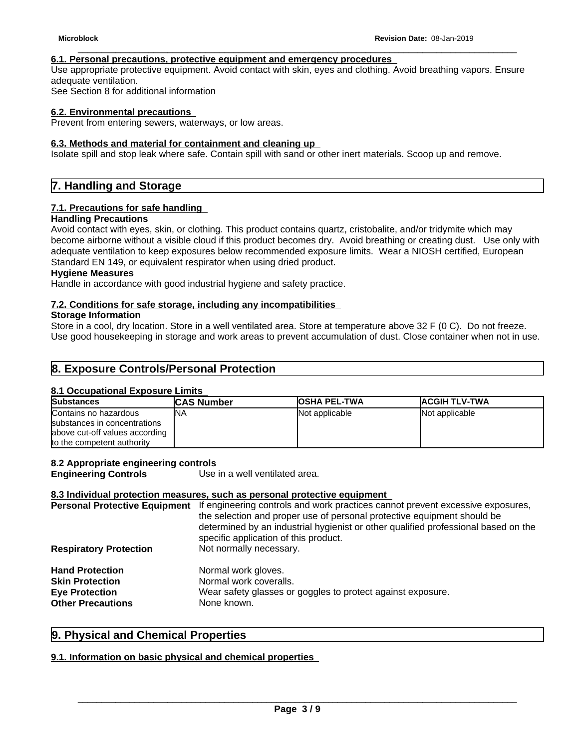## **6.1. Personal precautions, protective equipment and emergency procedures**

Use appropriate protective equipment. Avoid contact with skin, eyes and clothing. Avoid breathing vapors. Ensure adequate ventilation.

See Section 8 for additional information

#### **6.2. Environmental precautions**

Prevent from entering sewers, waterways, or low areas.

#### **6.3. Methods and material for containment and cleaning up**

Isolate spill and stop leak where safe. Contain spill with sand or other inert materials. Scoop up and remove.

# **7. Handling and Storage**

## **7.1. Precautions for safe handling**

### **Handling Precautions**

Avoid contact with eyes, skin, or clothing. This product contains quartz, cristobalite, and/or tridymite which may become airborne without a visible cloud if this product becomes dry. Avoid breathing or creating dust. Use only with adequate ventilation to keep exposures below recommended exposure limits. Wear a NIOSH certified, European Standard EN 149, or equivalent respirator when using dried product.

**Hygiene Measures**

Handle in accordance with good industrial hygiene and safety practice.

#### **7.2. Conditions for safe storage, including any incompatibilities**

## **Storage Information**

Store in a cool, dry location. Store in a well ventilated area. Store at temperature above 32 F (0 C). Do not freeze. Use good housekeeping in storage and work areas to prevent accumulation of dust. Close container when not in use.

# **8. Exposure Controls/Personal Protection**

#### **8.1 Occupational Exposure Limits**

| <b>Substances</b>              | <b>CAS Number</b> | <b>OSHA PEL-TWA</b> | <b>ACGIH TLV-TWA</b> |
|--------------------------------|-------------------|---------------------|----------------------|
| Contains no hazardous          | 'NA               | Not applicable      | Not applicable       |
| substances in concentrations   |                   |                     |                      |
| above cut-off values according |                   |                     |                      |
| to the competent authority     |                   |                     |                      |

#### **8.2 Appropriate engineering controls**

**Engineering Controls** Use in a well ventilated area.

### **8.3 Individual protection measures, such as personal protective equipment**

| <b>Personal Protective Equipment</b> | If engineering controls and work practices cannot prevent excessive exposures,<br>the selection and proper use of personal protective equipment should be<br>determined by an industrial hygienist or other qualified professional based on the<br>specific application of this product. |
|--------------------------------------|------------------------------------------------------------------------------------------------------------------------------------------------------------------------------------------------------------------------------------------------------------------------------------------|
| <b>Respiratory Protection</b>        | Not normally necessary.                                                                                                                                                                                                                                                                  |
| <b>Hand Protection</b>               | Normal work gloves.                                                                                                                                                                                                                                                                      |
| <b>Skin Protection</b>               | Normal work coveralls.                                                                                                                                                                                                                                                                   |
| <b>Eye Protection</b>                | Wear safety glasses or goggles to protect against exposure.                                                                                                                                                                                                                              |
| <b>Other Precautions</b>             | None known.                                                                                                                                                                                                                                                                              |
|                                      |                                                                                                                                                                                                                                                                                          |

# **9. Physical and Chemical Properties**

# **9.1. Information on basic physical and chemical properties**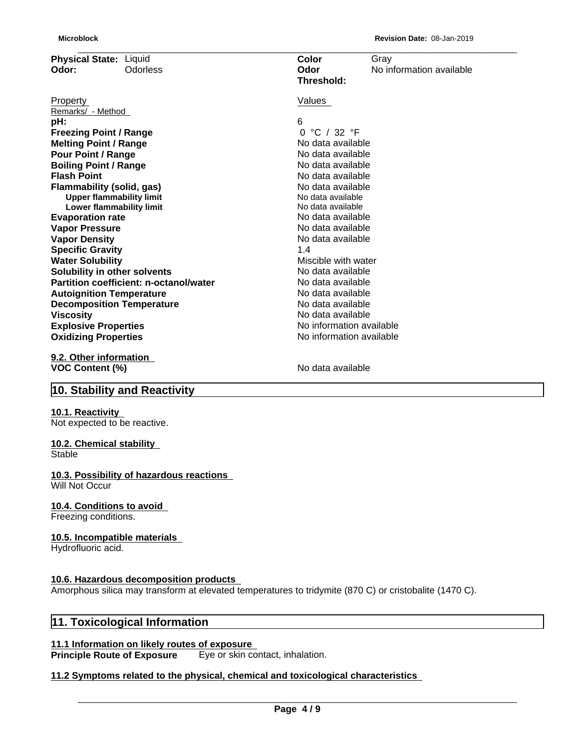| <b>Microblock</b>             |                                        |                          | Revision Date: 08-Jan-2019 |
|-------------------------------|----------------------------------------|--------------------------|----------------------------|
| Physical State: Liquid        |                                        | Color                    | Gray                       |
| Odor:                         | <b>Odorless</b>                        | Odor                     | No information available   |
|                               |                                        | Threshold:               |                            |
| Property                      |                                        | Values                   |                            |
| Remarks/ - Method             |                                        |                          |                            |
| pH:                           |                                        | 6                        |                            |
| <b>Freezing Point / Range</b> |                                        | °C / 32 °F<br>$\Omega$   |                            |
| <b>Melting Point / Range</b>  |                                        | No data available        |                            |
| <b>Pour Point / Range</b>     |                                        | No data available        |                            |
| <b>Boiling Point / Range</b>  |                                        | No data available        |                            |
| <b>Flash Point</b>            |                                        | No data available        |                            |
|                               | <b>Flammability (solid, gas)</b>       | No data available        |                            |
|                               | <b>Upper flammability limit</b>        | No data available        |                            |
|                               | <b>Lower flammability limit</b>        | No data available        |                            |
| <b>Evaporation rate</b>       |                                        | No data available        |                            |
| <b>Vapor Pressure</b>         |                                        | No data available        |                            |
| <b>Vapor Density</b>          |                                        | No data available        |                            |
| <b>Specific Gravity</b>       |                                        | 1.4                      |                            |
| <b>Water Solubility</b>       |                                        | Miscible with water      |                            |
|                               | Solubility in other solvents           | No data available        |                            |
|                               | Partition coefficient: n-octanol/water | No data available        |                            |
|                               | <b>Autoignition Temperature</b>        | No data available        |                            |
|                               | <b>Decomposition Temperature</b>       | No data available        |                            |
| <b>Viscosity</b>              |                                        | No data available        |                            |
| <b>Explosive Properties</b>   |                                        | No information available |                            |
| <b>Oxidizing Properties</b>   |                                        | No information available |                            |
| 9.2. Other information        |                                        |                          |                            |
| <b>VOC Content (%)</b>        |                                        | No data available        |                            |
|                               |                                        |                          |                            |

# **10. Stability and Reactivity**

# **10.1. Reactivity**

Not expected to be reactive.

# **10.2. Chemical stability**

**Stable** 

#### **10.3. Possibility of hazardous reactions** Will Not Occur

# **10.4. Conditions to avoid**

Freezing conditions.

# **10.5. Incompatible materials**

Hydrofluoric acid.

# **10.6. Hazardous decomposition products**

Amorphous silica may transform at elevated temperatures to tridymite (870 C) or cristobalite (1470 C).

# **11. Toxicological Information**

# **11.1 Information on likely routes of exposure**

**Principle Route of Exposure** Eye or skin contact, inhalation.

# **11.2 Symptoms related to the physical,chemical and toxicological characteristics**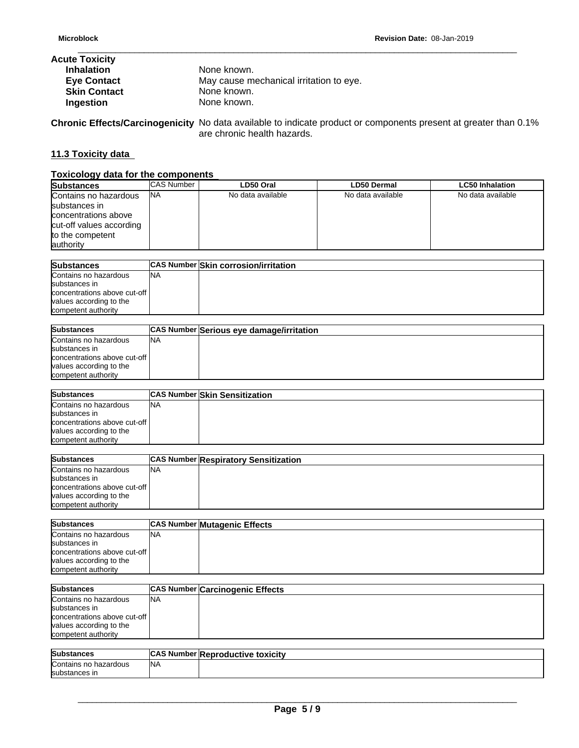| <b>Acute Toxicity</b> |                                         |
|-----------------------|-----------------------------------------|
| <b>Inhalation</b>     | None known.                             |
| <b>Eye Contact</b>    | May cause mechanical irritation to eye. |
| <b>Skin Contact</b>   | None known.                             |
| Ingestion             | None known.                             |

**Chronic Effects/Carcinogenicity** No data available to indicate product or components present at greater than 0.1% are chronic health hazards.

# **11.3 Toxicity data**

# **Toxicology data for the components**

| <b>Substances</b>        | <b>CAS Number</b> | LD50 Oral         | <b>LD50 Dermal</b> | <b>LC50 Inhalation</b> |
|--------------------------|-------------------|-------------------|--------------------|------------------------|
| Contains no hazardous    | <b>INA</b>        | No data available | No data available  | No data available      |
| substances in            |                   |                   |                    |                        |
| concentrations above     |                   |                   |                    |                        |
| cut-off values according |                   |                   |                    |                        |
| to the competent         |                   |                   |                    |                        |
| lauthority               |                   |                   |                    |                        |

| <b>Substances</b>              |           | <b>CAS Number Skin corrosion/irritation</b> |
|--------------------------------|-----------|---------------------------------------------|
| Contains no hazardous          | <b>NA</b> |                                             |
| substances in                  |           |                                             |
| concentrations above cut-off I |           |                                             |
| values according to the        |           |                                             |
| competent authority            |           |                                             |

| <b>Substances</b>              |            | CAS Number Serious eye damage/irritation |
|--------------------------------|------------|------------------------------------------|
| Contains no hazardous          | <b>INA</b> |                                          |
| substances in                  |            |                                          |
| concentrations above cut-off I |            |                                          |
| values according to the        |            |                                          |
| competent authority            |            |                                          |

| <b>Substances</b>              |           | <b>CAS Number Skin Sensitization</b> |
|--------------------------------|-----------|--------------------------------------|
| Contains no hazardous          | <b>NA</b> |                                      |
| substances in                  |           |                                      |
| concentrations above cut-off I |           |                                      |
| values according to the        |           |                                      |
| competent authority            |           |                                      |

| <b>Substances</b>            |     | <b>CAS Number Respiratory Sensitization</b> |
|------------------------------|-----|---------------------------------------------|
| Contains no hazardous        | 'NA |                                             |
| substances in                |     |                                             |
| concentrations above cut-off |     |                                             |
| values according to the      |     |                                             |
| competent authority          |     |                                             |

| <b>Substances</b>            |           | <b>CAS Number Mutagenic Effects</b> |
|------------------------------|-----------|-------------------------------------|
| Contains no hazardous        | <b>NA</b> |                                     |
| substances in                |           |                                     |
| concentrations above cut-off |           |                                     |
| values according to the      |           |                                     |
| competent authority          |           |                                     |

| <b>Substances</b>            |           | <b>CAS Number Carcinogenic Effects</b> |
|------------------------------|-----------|----------------------------------------|
| Contains no hazardous        | <b>NA</b> |                                        |
| substances in                |           |                                        |
| concentrations above cut-off |           |                                        |
| values according to the      |           |                                        |
| competent authority          |           |                                        |
|                              |           |                                        |

| Subs<br>.<br>.                              | <b>ICAS Number R</b> | eproductive toxicity<br>IN |
|---------------------------------------------|----------------------|----------------------------|
| <b>Contains</b><br>hazardous<br>$\sim$<br>. | <b>NA</b>            |                            |
| <b>Isubstances</b> in                       |                      |                            |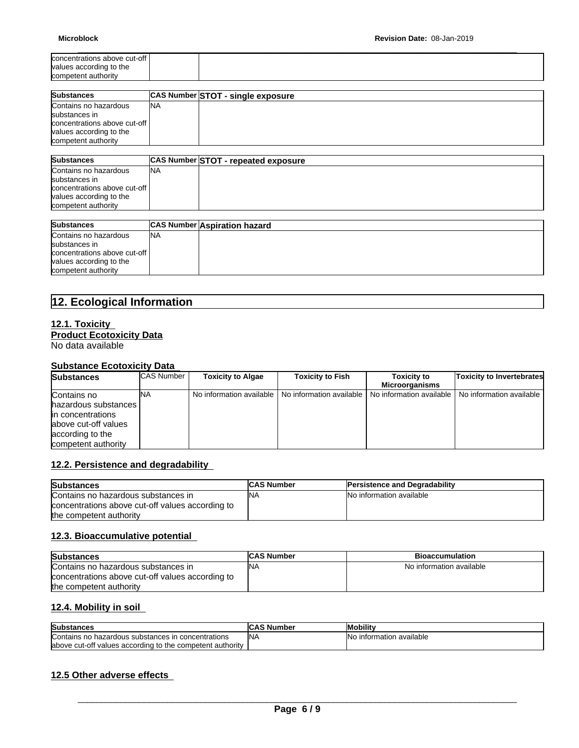| concentrations above cut-off<br>values according to the<br>competent authority | <b>Microblock</b> | <b>Revision Date: 08-Jan-2019</b> |
|--------------------------------------------------------------------------------|-------------------|-----------------------------------|
|                                                                                |                   |                                   |

| <b>Substances</b>            |           | CAS Number STOT - single exposure |
|------------------------------|-----------|-----------------------------------|
| Contains no hazardous        | <b>NA</b> |                                   |
| substances in                |           |                                   |
| concentrations above cut-off |           |                                   |
| values according to the      |           |                                   |
| competent authority          |           |                                   |

| <b>Substances</b>            |            | CAS Number STOT - repeated exposure |
|------------------------------|------------|-------------------------------------|
| Contains no hazardous        | <b>INA</b> |                                     |
| substances in                |            |                                     |
| concentrations above cut-off |            |                                     |
| values according to the      |            |                                     |
| competent authority          |            |                                     |

| <b>Substances</b>              |           | <b>CAS Number Aspiration hazard</b> |
|--------------------------------|-----------|-------------------------------------|
| Contains no hazardous          | <b>NA</b> |                                     |
| substances in                  |           |                                     |
| concentrations above cut-off I |           |                                     |
| values according to the        |           |                                     |
| competent authority            |           |                                     |

# **12. Ecological Information**

# **12.1. Toxicity Product Ecotoxicity Data**

No data available

# **Substance Ecotoxicity Data**

| <b>Substances</b>     | <b>CAS Number</b> | <b>Toxicity to Algae</b> | <b>Toxicity to Fish</b>                             | <b>Toxicity to</b> | <b>Toxicity to Invertebrates</b>                    |
|-----------------------|-------------------|--------------------------|-----------------------------------------------------|--------------------|-----------------------------------------------------|
|                       |                   |                          |                                                     | Microorganisms     |                                                     |
| Contains no           | <b>INA</b>        |                          | No information available   No information available |                    | No information available I No information available |
| hazardous substances  |                   |                          |                                                     |                    |                                                     |
| lin concentrations    |                   |                          |                                                     |                    |                                                     |
| labove cut-off values |                   |                          |                                                     |                    |                                                     |
| according to the      |                   |                          |                                                     |                    |                                                     |
| competent authority   |                   |                          |                                                     |                    |                                                     |

# **12.2. Persistence and degradability**

| <b>Substances</b>                                | <b>CAS Number</b> | <b>Persistence and Degradability</b> |
|--------------------------------------------------|-------------------|--------------------------------------|
| Contains no hazardous substances in              | <b>INA</b>        | No information available             |
| concentrations above cut-off values according to |                   |                                      |
| the competent authority                          |                   |                                      |

# **12.3. Bioaccumulative potential**

| <b>Substances</b>                                | <b>CAS Number</b> | <b>Bioaccumulation</b>   |
|--------------------------------------------------|-------------------|--------------------------|
| Contains no hazardous substances in              | 'NA               | No information available |
| concentrations above cut-off values according to |                   |                          |
| the competent authority                          |                   |                          |

# **12.4. Mobility in soil**

| Substances                                                 | <b>ICAS Number</b> | <b>Mobility</b>                    |
|------------------------------------------------------------|--------------------|------------------------------------|
| Contains no hazardous substances in concentrations         | <b>NA</b>          | ı available<br>information ر<br>Nο |
| labove cut-off values according to the competent authority |                    |                                    |

# **12.5 Other adverse effects**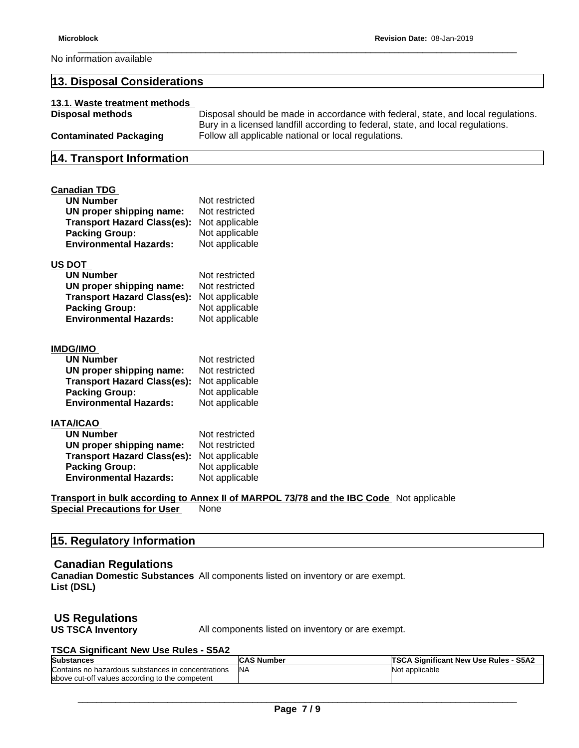No information available

# **13. Disposal Considerations 13.1. Waste treatment methods Disposal methods** Disposal should be made in accordance with federal, state, and local regulations. Bury in a licensed landfill according to federal, state, and local regulations. **Contaminated Packaging** Follow all applicable national or local regulations. **14. Transport Information Canadian TDG UN Number** Not restricted **UN proper shipping name:** Not restricted **Transport Hazard Class(es):** Not applicable **Packing Group: Environmental Hazards:** Not applicable **US DOT UN Number** Not restricted<br> **UN proper shipping name:** Not restricted **UN** proper shipping name: **Transport Hazard Class(es):** Not applicable **Packing Group:** Not applicable<br> **Environmental Hazards:** Not applicable **Environmental Hazards: IMDG/IMO UN Number** Not restricted **UN proper shipping name:** Not restricted **Transport Hazard Class(es):** Not applicable **Packing Group:** Not applicable **Environmental Hazards:** Not applicable **IATA/ICAO UN Number** Not restricted **UN proper shipping name:** Not restricted **Transport Hazard Class(es):** Not applicable **Packing Group: Environmental Hazards:** Not applicable **Transport in bulk according to Annex II of MARPOL 73/78 and the IBC Code** Not applicable

**Special Precautions for User** None

# **15. Regulatory Information**

# **Canadian Regulations**

**Canadian Domestic Substances** All components listed on inventory or are exempt.**List (DSL)**

# **US Regulations**

**US TSCA Inventory** All components listed on inventory or are exempt.

#### **TSCA Significant New Use Rules - S5A2**

| <b>Substances</b>                                        | <b>CAS Number</b> | <b>S5A2</b><br>∖ Sianificant New Use Rules ⋅ |
|----------------------------------------------------------|-------------------|----------------------------------------------|
| concentrations ו<br>IContains no hazardous substances in | IN <sub>A</sub>   | <b>Not applicable</b>                        |
| labove cut-off values according to the competent         |                   |                                              |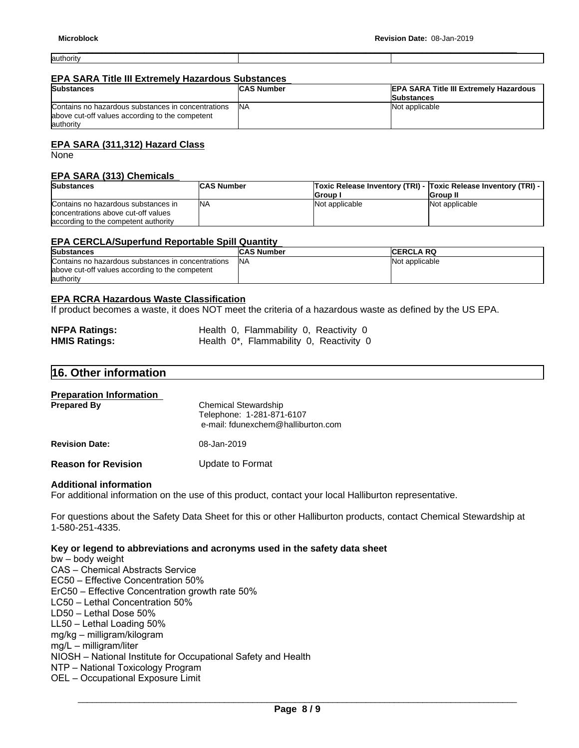authority

#### **EPA SARA Title III Extremely Hazardous Substances**

| <b>Substances</b>                                                                                                   | <b>CAS Number</b> | <b>EPA SARA Title III Extremely Hazardous</b> |
|---------------------------------------------------------------------------------------------------------------------|-------------------|-----------------------------------------------|
|                                                                                                                     |                   | <b>Substances</b>                             |
| Contains no hazardous substances in concentrations<br>above cut-off values according to the competent<br>lauthority | <b>INA</b>        | Not applicable                                |

# **EPA SARA (311,312) Hazard Class**

None

## **EPA SARA (313) Chemicals**

| <b>Substances</b>                                                                                                   | <b>CAS Number</b> |                | Toxic Release Inventory (TRI) -  Toxic Release Inventory (TRI) - |
|---------------------------------------------------------------------------------------------------------------------|-------------------|----------------|------------------------------------------------------------------|
|                                                                                                                     |                   | Group          | <b>IGroup II</b>                                                 |
| Contains no hazardous substances in<br>concentrations above cut-off values<br>laccording to the competent authority | INA               | Not applicable | Not applicable                                                   |

## **EPA CERCLA/Superfund Reportable Spill Quantity**

| <b>Substances</b>                                  | <b>CAS Number</b> | <b>ICERCLA RQ</b> |
|----------------------------------------------------|-------------------|-------------------|
| Contains no hazardous substances in concentrations | INA               | Not applicable    |
| above cut-off values according to the competent    |                   |                   |
| lauthority                                         |                   |                   |

# **EPA RCRA Hazardous Waste Classification**

If product becomes a waste, it does NOT meet the criteria of a hazardous waste as defined by the US EPA.

| <b>NFPA Ratings:</b> | Health 0, Flammability 0, Reactivity 0  |
|----------------------|-----------------------------------------|
| <b>HMIS Ratings:</b> | Health 0*, Flammability 0, Reactivity 0 |

# **16. Other information**

| <b>Preparation Information</b><br><b>Prepared By</b> | <b>Chemical Stewardship</b><br>Telephone: 1-281-871-6107<br>e-mail: fdunexchem@halliburton.com |
|------------------------------------------------------|------------------------------------------------------------------------------------------------|
| <b>Revision Date:</b>                                | 08-Jan-2019                                                                                    |
| <b>Reason for Revision</b>                           | Update to Format                                                                               |

#### **Additional information**

For additional information on the use of this product, contact your local Halliburton representative.

For questions about the Safety Data Sheet for this or other Halliburton products, contact Chemical Stewardship at 1-580-251-4335.

#### **Key or legend to abbreviations and acronyms used in the safety data sheet**

bw–bodyweight CAS - Chemical Abstracts Service EC50 – Effective Concentration 50% ErC50 - Effective Concentration growth rate 50% LC50 - Lethal Concentration 50% LD50 - Lethal Dose 50%  $LL50$  – Lethal Loading  $50\%$ mg/kg–milligram/kilogram mg/L–milligram/liter NIOSH - National Institute for Occupational Safety and Health NTP - National Toxicology Program OEL - Occupational Exposure Limit